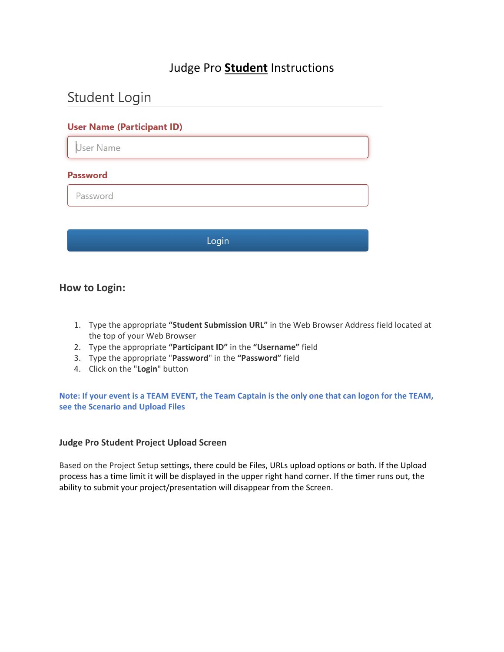## Judge Pro **Student** Instructions

# Student Login

#### **User Name (Participant ID)**

User Name

#### **Password**

Password

Login

### **How to Login:**

- 1. Type the appropriate **"Student Submission URL"** in the Web Browser Address field located at the top of your Web Browser
- 2. Type the appropriate **"Participant ID"** in the **"Username"** field
- 3. Type the appropriate "**Password**" in the **"Password"** field
- 4. Click on the "**Login**" button

**Note: If your event is a TEAM EVENT, the Team Captain is the only one that can logon for the TEAM, see the Scenario and Upload Files**

#### **Judge Pro Student Project Upload Screen**

Based on the Project Setup settings, there could be Files, URLs upload options or both. If the Upload process has a time limit it will be displayed in the upper right hand corner. If the timer runs out, the ability to submit your project/presentation will disappear from the Screen.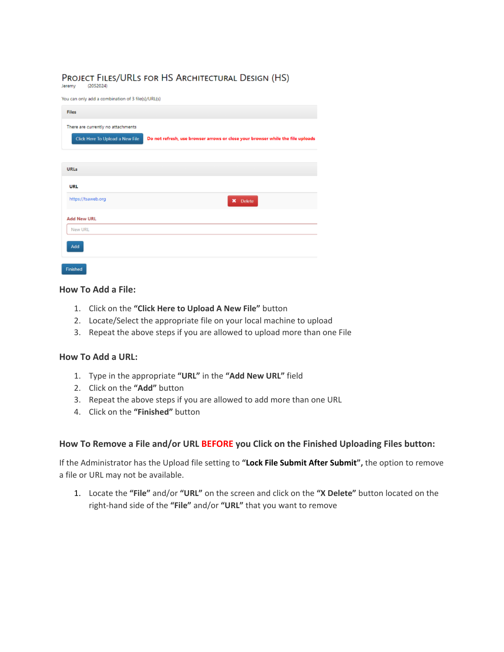## PROJECT FILES/URLS FOR HS ARCHITECTURAL DESIGN (HS)

 $(2052024)$ Jeremy

You can only add a combination of 3 file(s)/URL(s)

| <b>Files</b>                                                          |                                                                                 |
|-----------------------------------------------------------------------|---------------------------------------------------------------------------------|
| There are currently no attachments<br>Click Here To Upload a New File | Do not refresh, use browser arrows or close your browser while the file uploads |
| <b>URLs</b><br>URL                                                    |                                                                                 |
| https://tsaweb.org                                                    | X Delete                                                                        |
| <b>Add New URL</b>                                                    |                                                                                 |
| New URL                                                               |                                                                                 |
| Add                                                                   |                                                                                 |
| <b>Productional</b>                                                   |                                                                                 |

#### **How To Add a File:**

- 1. Click on the **"Click Here to Upload A New File"** button
- 2. Locate/Select the appropriate file on your local machine to upload
- 3. Repeat the above steps if you are allowed to upload more than one File

#### **How To Add a URL:**

- 1. Type in the appropriate **"URL"** in the **"Add New URL"** field
- 2. Click on the **"Add"** button
- 3. Repeat the above steps if you are allowed to add more than one URL
- 4. Click on the **"Finished"** button

#### **How To Remove a File and/or URL BEFORE you Click on the Finished Uploading Files button:**

If the Administrator has the Upload file setting to **"Lock File Submit After Submit",** the option to remove a file or URL may not be available.

1. Locate the **"File"** and/or **"URL"** on the screen and click on the **"X Delete"** button located on the right-hand side of the **"File"** and/or **"URL"** that you want to remove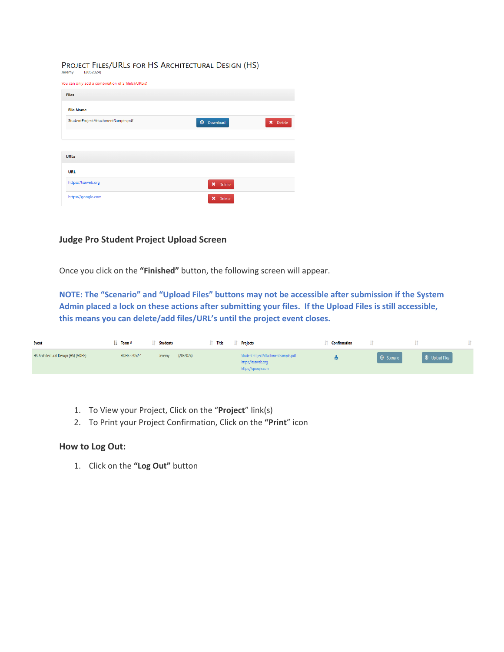#### PROJECT FILES/URLS FOR HS ARCHITECTURAL DESIGN (HS)

 $(2052024)$ Jeremy

| You can only add a combination of 3 file(s)/URL(s) |                            |                          |
|----------------------------------------------------|----------------------------|--------------------------|
| <b>Files</b>                                       |                            |                          |
| <b>File Name</b>                                   |                            |                          |
| StudentProjectAttachmentSample.pdf                 | Download<br>$\circledcirc$ | $\pmb{\times}$<br>Delete |
|                                                    |                            |                          |
|                                                    |                            |                          |
| <b>URLs</b>                                        |                            |                          |
| <b>URL</b>                                         |                            |                          |
| https://tsaweb.org                                 | X Delete                   |                          |
| https://google.com                                 | ×<br>Delete                |                          |

#### **Judge Pro Student Project Upload Screen**

Once you click on the **"Finished"** button, the following screen will appear.

**NOTE: The "Scenario" and "Upload Files" buttons may not be accessible after submission if the System Admin placed a lock on these actions after submitting your files. If the Upload Files is still accessible, this means you can delete/add files/URL's until the project event closes.**

| Event                               | $\mathbf{I}$ Team # | <b>Students</b> | Title     | <b>Projects</b>                                                                | <b>Confirmation</b> |            |                       |  |
|-------------------------------------|---------------------|-----------------|-----------|--------------------------------------------------------------------------------|---------------------|------------|-----------------------|--|
| HS Architectural Design (HS) (ADHS) | ADHS~2052-1         | Jeremy          | (2052024) | StudentProjectAttachmentSample.pdf<br>https://tsaweb.org<br>https://google.com |                     | O Scenario | <b>1</b> Upload Files |  |

- 1. To View your Project, Click on the "**Project**" link(s)
- 2. To Print your Project Confirmation, Click on the **"Print**" icon

#### **How to Log Out:**

1. Click on the **"Log Out"** button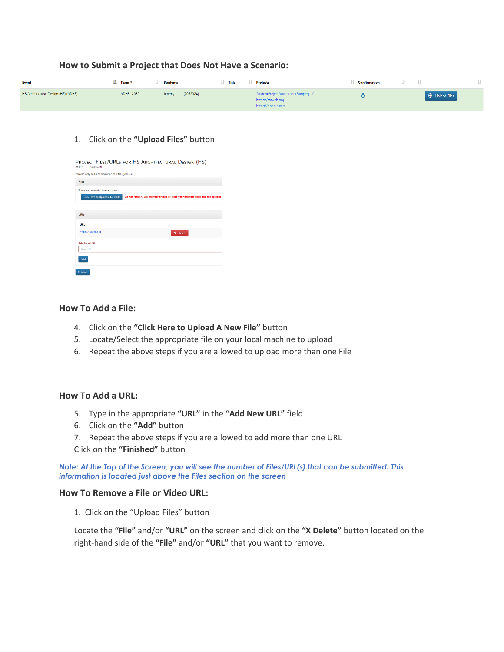| Event                               | IL Team#    | <b>Students</b>     | <b>Title</b> | <b>Projects</b>                                                                | <b>Confirmation</b> | Jî.                     |
|-------------------------------------|-------------|---------------------|--------------|--------------------------------------------------------------------------------|---------------------|-------------------------|
| HS Architectural Design (HS) (ADHS) | ADHS~2052-1 | (2052024)<br>Jeremy |              | StudentProjectAttachmentSample.pdf<br>https://tsaweb.org<br>https://google.com |                     | <b>1</b> O Upload Files |

#### 1. Click on the **"Upload Files"** button

**How to Submit a Project that Does Not Have a Scenario:**

| PROJECT FILES/URLS FOR HS ARCHITECTURAL DESIGN (HS)<br>(2052024)<br>Jeremy                                                                               |
|----------------------------------------------------------------------------------------------------------------------------------------------------------|
| You can only add a combination of 3 file(s)/URL(s)                                                                                                       |
| Files                                                                                                                                                    |
| There are currently no attachments<br>Click Here To Upload a New File<br>Do not refresh, use browser arrows or close your browser while the file uploads |
| URLs                                                                                                                                                     |
| URL                                                                                                                                                      |
| https://tsaweb.org<br>X Delete                                                                                                                           |
| <b>Add New URL</b>                                                                                                                                       |
| New URL                                                                                                                                                  |
| Add                                                                                                                                                      |
| Finished                                                                                                                                                 |

#### **How To Add a File:**

- 4. Click on the **"Click Here to Upload A New File"** button
- 5. Locate/Select the appropriate file on your local machine to upload
- 6. Repeat the above steps if you are allowed to upload more than one File

#### **How To Add a URL:**

- 5. Type in the appropriate **"URL"** in the **"Add New URL"** field
- 6. Click on the **"Add"** button
- 7. Repeat the above steps if you are allowed to add more than one URL
- Click on the **"Finished"** button

*Note: At the Top of the Screen, you will see the number of Files/URL(s) that can be submitted. This information is located just above the Files section on the screen*

#### **How To Remove a File or Video URL:**

1. Click on the "Upload Files" button

Locate the **"File"** and/or **"URL"** on the screen and click on the **"X Delete"** button located on the right-hand side of the **"File"** and/or **"URL"** that you want to remove.